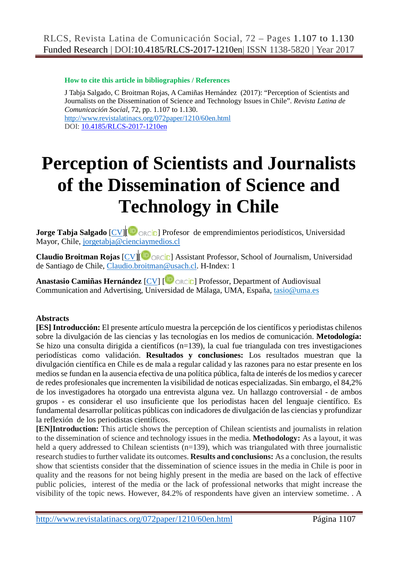#### **How to cite this article in bibliographies / References**

J Tabja Salgado, C Broitman Rojas, A Camiñas Hernández (2017): "Perception of Scientists and Journalists on the Dissemination of Science and Technology Issues in Chile". *Revista Latina de Comunicación Social*, 72, pp. 1.107 to 1.130. <http://www.revistalatinacs.org/072paper/1210/60en.html> DOI: [10.4185/RLCS-2017-1210en](http://dx.doi.org/10.4185/RLCS-2017-1210en)

# **Perception of Scientists and Journalists of the Dissemination of Science and Technology in Chile**

**Jorge Tabja Salgado** [CV][ **D** ORCID] Profesor de emprendimientos periodísticos, Universidad Mayor, Chile, [jorgetabja@cienciaymedios.cl](mailto:jorgetabja@cienciaymedios.cl)

**Claudio Broitman Rojas** [CV]<sup>[ D</sup> ORCID] Assistant Professor, School of Journalism, Universidad de Santiago de Chile, [Claudio.broitman@usach.cl.](mailto:Claudio.broitman@usach.cl) H-Index: 1

**Anastasio Camiñas Hernández** [CV] [ Dorcip] Professor, Department of Audiovisual Communication and Advertising, Universidad de Málaga, UMA, España, tasio@uma.es

# **Abstracts**

**[ES] Introducción:** El presente artículo muestra la percepción de los científicos y periodistas chilenos sobre la divulgación de las ciencias y las tecnologías en los medios de comunicación. **Metodología:** Se hizo una consulta dirigida a científicos (n=139), la cual fue triangulada con tres investigaciones periodísticas como validación. **Resultados y conclusiones:** Los resultados muestran que la divulgación científica en Chile es de mala a regular calidad y las razones para no estar presente en los medios se fundan en la ausencia efectiva de una política pública, falta de interés de los medios y carecer de redes profesionales que incrementen la visibilidad de noticas especializadas. Sin embargo, el 84,2% de los investigadores ha otorgado una entrevista alguna vez. Un hallazgo controversial - de ambos grupos - es considerar el uso insuficiente que los periodistas hacen del lenguaje científico. Es fundamental desarrollar políticas públicas con indicadores de divulgación de las ciencias y profundizar la reflexión de los periodistas científicos.

**[EN]Introduction:** This article shows the perception of Chilean scientists and journalists in relation to the dissemination of science and technology issues in the media. **Methodology:** As a layout, it was held a query addressed to Chilean scientists (n=139), which was triangulated with three journalistic research studies to further validate its outcomes. **Results and conclusions:** As a conclusion, the results show that scientists consider that the dissemination of science issues in the media in Chile is poor in quality and the reasons for not being highly present in the media are based on the lack of effective public policies, interest of the media or the lack of professional networks that might increase the visibility of the topic news. However, 84.2% of respondents have given an interview sometime. . A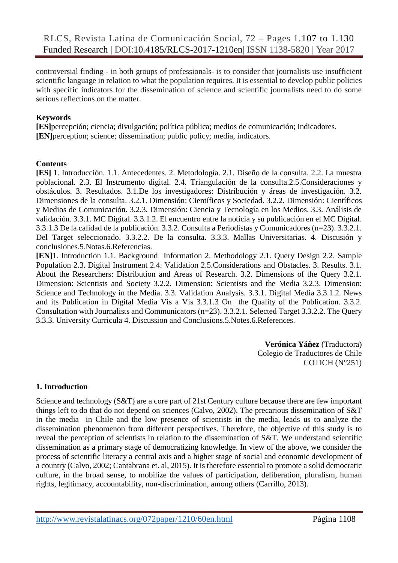controversial finding - in both groups of professionals- is to consider that journalists use insufficient scientific language in relation to what the population requires. It is essential to develop public policies with specific indicators for the dissemination of science and scientific journalists need to do some serious reflections on the matter.

#### **Keywords**

**[ES]**percepción; ciencia; divulgación; política pública; medios de comunicación; indicadores. **[EN]** perception; science; dissemination; public policy; media, indicators.

#### **Contents**

**[ES]** 1. Introducción. 1.1. Antecedentes. 2. Metodología. 2.1. Diseño de la consulta. 2.2. La muestra poblacional. 2.3. El Instrumento digital. 2.4. Triangulación de la consulta.2.5.Consideraciones y obstáculos. 3. Resultados. 3.1.De los investigadores: Distribución y áreas de investigación. 3.2. Dimensiones de la consulta. 3.2.1. Dimensión: Científicos y Sociedad. 3.2.2. Dimensión: Científicos y Medios de Comunicación. 3.2.3. Dimensión: Ciencia y Tecnología en los Medios. 3.3. Análisis de validación. 3.3.1. MC Digital. 3.3.1.2. El encuentro entre la noticia y su publicación en el MC Digital. 3.3.1.3 De la calidad de la publicación. 3.3.2. Consulta a Periodistas y Comunicadores (n=23). 3.3.2.1. Del Target seleccionado. 3.3.2.2. De la consulta. 3.3.3. Mallas Universitarias. 4. Discusión y conclusiones.5.Notas.6.Referencias.

**[EN]**1. Introduction 1.1. Background Information 2. Methodology 2.1. Query Design 2.2. Sample Population 2.3. Digital Instrument 2.4. Validation 2.5.Considerations and Obstacles. 3. Results. 3.1. About the Researchers: Distribution and Areas of Research. 3.2. Dimensions of the Query 3.2.1. Dimension: Scientists and Society 3.2.2. Dimension: Scientists and the Media 3.2.3. Dimension: Science and Technology in the Media. 3.3. Validation Analysis. 3.3.1. Digital Media 3.3.1.2. News and its Publication in Digital Media Vis a Vis 3.3.1.3 On the Quality of the Publication. 3.3.2. Consultation with Journalists and Communicators (n=23). 3.3.2.1. Selected Target 3.3.2.2. The Query 3.3.3. University Curricula 4. Discussion and Conclusions.5.Notes.6.References.

> **Verónica Yáñez** (Traductora) Colegio de Traductores de Chile COTICH (N°251)

# **1. Introduction**

Science and technology (S&T) are a core part of 21st Century culture because there are few important things left to do that do not depend on sciences (Calvo, 2002). The precarious dissemination of S&T in the media in Chile and the low presence of scientists in the media, leads us to analyze the dissemination phenomenon from different perspectives. Therefore, the objective of this study is to reveal the perception of scientists in relation to the dissemination of S&T. We understand scientific dissemination as a primary stage of democratizing knowledge. In view of the above, we consider the process of scientific literacy a central axis and a higher stage of social and economic development of a country (Calvo, 2002; Cantabrana et. al, 2015). It is therefore essential to promote a solid democratic culture, in the broad sense, to mobilize the values of participation, deliberation, pluralism, human rights, legitimacy, accountability, non-discrimination, among others (Carrillo, 2013).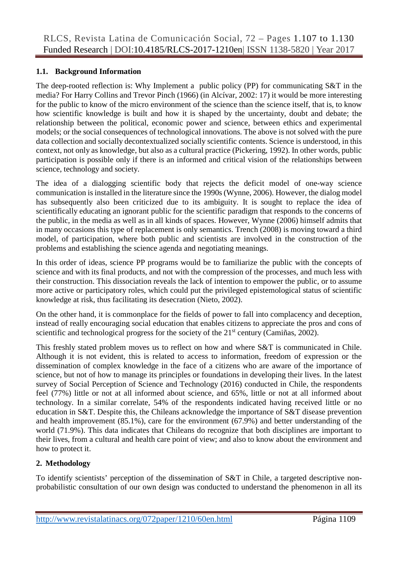#### **1.1. Background Information**

The deep-rooted reflection is: Why Implement a public policy (PP) for communicating S&T in the media? For Harry Collins and Trevor Pinch (1966) (in Alcívar, 2002: 17) it would be more interesting for the public to know of the micro environment of the science than the science itself, that is, to know how scientific knowledge is built and how it is shaped by the uncertainty, doubt and debate; the relationship between the political, economic power and science, between ethics and experimental models; or the social consequences of technological innovations. The above is not solved with the pure data collection and socially decontextualized socially scientific contents. Science is understood, in this context, not only as knowledge, but also as a cultural practice (Pickering, 1992). In other words, public participation is possible only if there is an informed and critical vision of the relationships between science, technology and society.

The idea of a dialogging scientific body that rejects the deficit model of one-way science communication is installed in the literature since the 1990s (Wynne, 2006). However, the dialog model has subsequently also been criticized due to its ambiguity. It is sought to replace the idea of scientifically educating an ignorant public for the scientific paradigm that responds to the concerns of the public, in the media as well as in all kinds of spaces. However, Wynne (2006) himself admits that in many occasions this type of replacement is only semantics. Trench (2008) is moving toward a third model, of participation, where both public and scientists are involved in the construction of the problems and establishing the science agenda and negotiating meanings.

In this order of ideas, science PP programs would be to familiarize the public with the concepts of science and with its final products, and not with the compression of the processes, and much less with their construction. This dissociation reveals the lack of intention to empower the public, or to assume more active or participatory roles, which could put the privileged epistemological status of scientific knowledge at risk, thus facilitating its desecration (Nieto, 2002).

On the other hand, it is commonplace for the fields of power to fall into complacency and deception, instead of really encouraging social education that enables citizens to appreciate the pros and cons of scientific and technological progress for the society of the  $21<sup>st</sup>$  century (Camiñas, 2002).

This freshly stated problem moves us to reflect on how and where S&T is communicated in Chile. Although it is not evident, this is related to access to information, freedom of expression or the dissemination of complex knowledge in the face of a citizens who are aware of the importance of science, but not of how to manage its principles or foundations in developing their lives. In the latest survey of Social Perception of Science and Technology (2016) conducted in Chile, the respondents feel (77%) little or not at all informed about science, and 65%, little or not at all informed about technology. In a similar correlate, 54% of the respondents indicated having received little or no education in S&T. Despite this, the Chileans acknowledge the importance of S&T disease prevention and health improvement (85.1%), care for the environment (67.9%) and better understanding of the world (71.9%). This data indicates that Chileans do recognize that both disciplines are important to their lives, from a cultural and health care point of view; and also to know about the environment and how to protect it.

# **2. Methodology**

To identify scientists' perception of the dissemination of S&T in Chile, a targeted descriptive nonprobabilistic consultation of our own design was conducted to understand the phenomenon in all its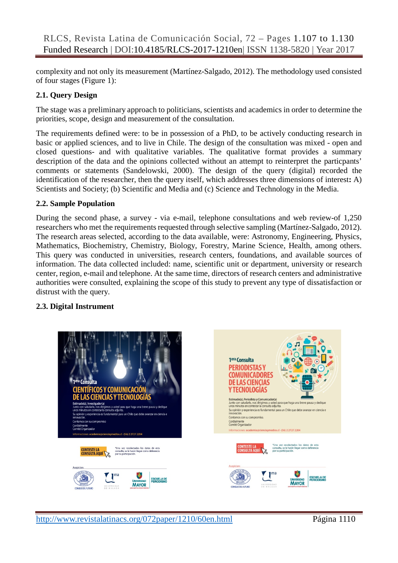complexity and not only its measurement (Martínez-Salgado, 2012). The methodology used consisted of four stages (Figure 1):

# **2.1. Query Design**

The stage was a preliminary approach to politicians, scientists and academics in order to determine the priorities, scope, design and measurement of the consultation.

The requirements defined were: to be in possession of a PhD, to be actively conducting research in basic or applied sciences, and to live in Chile. The design of the consultation was mixed - open and closed questions- and with qualitative variables. The qualitative format provides a summary description of the data and the opinions collected without an attempt to reinterpret the particpants' comments or statements (Sandelowski, 2000). The design of the query (digital) recorded the identification of the researcher, then the query itself, which addresses three dimensions of interest**:** A) Scientists and Society; (b) Scientific and Media and (c) Science and Technology in the Media.

#### **2.2. Sample Population**

During the second phase, a survey - via e-mail, telephone consultations and web review-of 1,250 researchers who met the requirements requested through selective sampling (Martínez-Salgado, 2012). The research areas selected, according to the data available, were: Astronomy, Engineering, Physics, Mathematics, Biochemistry, Chemistry, Biology, Forestry, Marine Science, Health, among others. This query was conducted in universities, research centers, foundations, and available sources of information. The data collected included: name, scientific unit or department, university or research center, region, e-mail and telephone. At the same time, directors of research centers and administrative authorities were consulted, explaining the scope of this study to prevent any type of dissatisfaction or distrust with the query.

# **2.3. Digital Instrument**





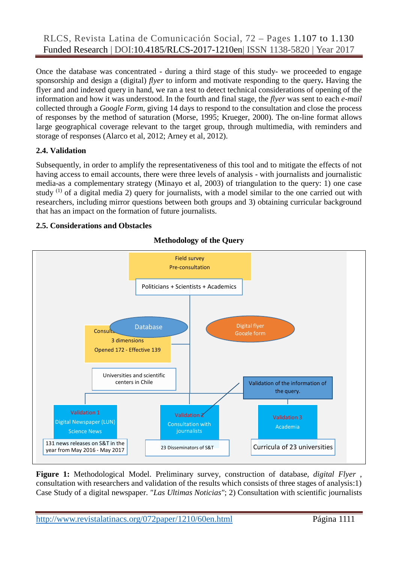Once the database was concentrated - during a third stage of this study- we proceeded to engage sponsorship and design a (digital) *flyer* to inform and motivate responding to the query**.** Having the flyer and and indexed query in hand, we ran a test to detect technical considerations of opening of the information and how it was understood. In the fourth and final stage, the *flyer* was sent to each *e-mail* collected through a *Google Form*, giving 14 days to respond to the consultation and close the process of responses by the method of saturation (Morse, 1995; Krueger, 2000). The on-line format allows large geographical coverage relevant to the target group, through multimedia, with reminders and storage of responses (Alarco et al, 2012; Arney et al, 2012).

# **2.4. Validation**

Subsequently, in order to amplify the representativeness of this tool and to mitigate the effects of not having access to email accounts, there were three levels of analysis - with journalists and journalistic media-as a complementary strategy (Minayo et al, 2003) of triangulation to the query: 1) one case study  $(1)$  of a digital media 2) query for journalists, with a model similar to the one carried out with researchers, including mirror questions between both groups and 3) obtaining curricular background that has an impact on the formation of future journalists.

# **2.5. Considerations and Obstacles**



# **Methodology of the Query**

**Figure 1:** Methodological Model. Preliminary survey, construction of database, *digital Flyer* , consultation with researchers and validation of the results which consists of three stages of analysis:1) Case Study of a digital newspaper. *"Las Ultimas Noticias"*; 2) Consultation with scientific journalists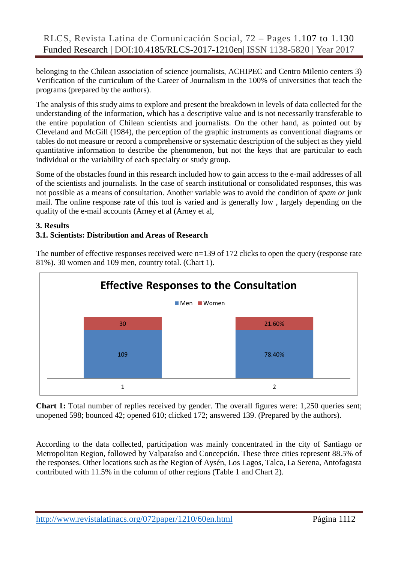belonging to the Chilean association of science journalists, ACHIPEC and Centro Milenio centers 3) Verification of the curriculum of the Career of Journalism in the 100% of universities that teach the programs (prepared by the authors).

The analysis of this study aims to explore and present the breakdown in levels of data collected for the understanding of the information, which has a descriptive value and is not necessarily transferable to the entire population of Chilean scientists and journalists. On the other hand, as pointed out by Cleveland and McGill (1984), the perception of the graphic instruments as conventional diagrams or tables do not measure or record a comprehensive or systematic description of the subject as they yield quantitative information to describe the phenomenon, but not the keys that are particular to each individual or the variability of each specialty or study group.

Some of the obstacles found in this research included how to gain access to the e-mail addresses of all of the scientists and journalists. In the case of search institutional or consolidated responses, this was not possible as a means of consultation. Another variable was to avoid the condition of *spam or* junk mail. The online response rate of this tool is varied and is generally low , largely depending on the quality of the e-mail accounts (Arney et al (Arney et al,

#### **3. Results**

# **3.1. Scientists: Distribution and Areas of Research**



The number of effective responses received were n=139 of 172 clicks to open the query (response rate 81%). 30 women and 109 men, country total. (Chart 1).

**Chart 1:** Total number of replies received by gender. The overall figures were: 1,250 queries sent; unopened 598; bounced 42; opened 610; clicked 172; answered 139. (Prepared by the authors).

According to the data collected, participation was mainly concentrated in the city of Santiago or Metropolitan Region, followed by Valparaíso and Concepción. These three cities represent 88.5% of the responses. Other locations such as the Region of Aysén, Los Lagos, Talca, La Serena, Antofagasta contributed with 11.5% in the column of other regions (Table 1 and Chart 2).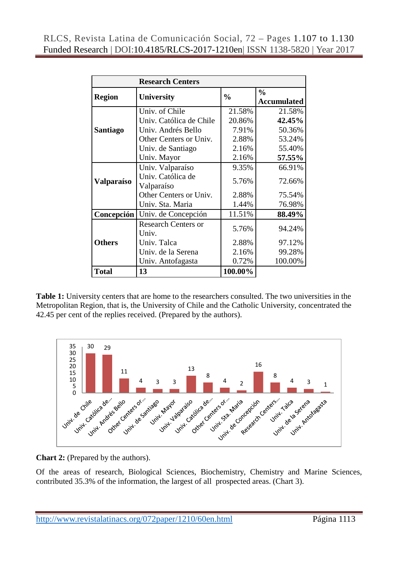|                 | <b>Research Centers</b>             |               |                                     |  |  |  |
|-----------------|-------------------------------------|---------------|-------------------------------------|--|--|--|
| <b>Region</b>   | <b>University</b>                   | $\frac{0}{0}$ | $\frac{0}{0}$<br><b>Accumulated</b> |  |  |  |
|                 | Univ. of Chile                      | 21.58%        | 21.58%                              |  |  |  |
|                 | Univ. Católica de Chile             | 20.86%        | 42.45%                              |  |  |  |
| <b>Santiago</b> | Univ. Andrés Bello                  | 7.91%         | 50.36%                              |  |  |  |
|                 | Other Centers or Univ.              | 2.88%         | 53.24%                              |  |  |  |
|                 | Univ. de Santiago                   | 2.16%         | 55.40%                              |  |  |  |
|                 | Univ. Mayor                         | 2.16%         | 57.55%                              |  |  |  |
|                 | Univ. Valparaíso                    | 9.35%         | 66.91%                              |  |  |  |
| Valparaíso      | Univ. Católica de<br>Valparaíso     | 5.76%         | 72.66%                              |  |  |  |
|                 | Other Centers or Univ.              | 2.88%         | 75.54%                              |  |  |  |
|                 | Univ. Sta. Maria                    | 1.44%         | 76.98%                              |  |  |  |
| Concepción      | Univ. de Concepción                 | 11.51%        | 88.49%                              |  |  |  |
|                 | <b>Research Centers or</b><br>Univ. | 5.76%         | 94.24%                              |  |  |  |
| <b>Others</b>   | Univ. Talca                         | 2.88%         | 97.12%                              |  |  |  |
|                 | Univ. de la Serena                  | 2.16%         | 99.28%                              |  |  |  |
|                 | Univ. Antofagasta                   | 0.72%         | 100.00%                             |  |  |  |
| <b>Total</b>    | 13                                  | 100.00%       |                                     |  |  |  |

**Table 1:** University centers that are home to the researchers consulted. The two universities in the Metropolitan Region, that is, the University of Chile and the Catholic University, concentrated the 42.45 per cent of the replies received. (Prepared by the authors).



**Chart 2:** (Prepared by the authors).

Of the areas of research, Biological Sciences, Biochemistry, Chemistry and Marine Sciences, contributed 35.3% of the information, the largest of all prospected areas. (Chart 3).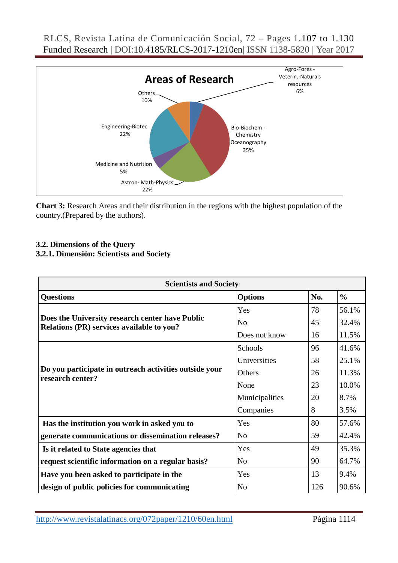

**Chart 3:** Research Areas and their distribution in the regions with the highest population of the country.(Prepared by the authors).

# **3.2. Dimensions of the Query**

# **3.2.1. Dimensión: Scientists and Society**

| <b>Scientists and Society</b>                                                                |                |     |               |  |  |
|----------------------------------------------------------------------------------------------|----------------|-----|---------------|--|--|
| <b>Questions</b>                                                                             | <b>Options</b> | No. | $\frac{0}{0}$ |  |  |
|                                                                                              | Yes            | 78  | 56.1%         |  |  |
| Does the University research center have Public<br>Relations (PR) services available to you? | N <sub>o</sub> | 45  | 32.4%         |  |  |
|                                                                                              | Does not know  | 16  | 11.5%         |  |  |
|                                                                                              | Schools        | 96  | 41.6%         |  |  |
|                                                                                              | Universities   | 58  | 25.1%         |  |  |
| Do you participate in outreach activities outside your<br>research center?                   | Others         | 26  | 11.3%         |  |  |
|                                                                                              | None           | 23  | 10.0%         |  |  |
|                                                                                              | Municipalities | 20  | 8.7%          |  |  |
|                                                                                              | Companies      | 8   | 3.5%          |  |  |
| Has the institution you work in asked you to                                                 | Yes            | 80  | 57.6%         |  |  |
| generate communications or dissemination releases?                                           | N <sub>o</sub> | 59  | 42.4%         |  |  |
| Is it related to State agencies that                                                         | Yes            | 49  | 35.3%         |  |  |
| request scientific information on a regular basis?                                           | N <sub>o</sub> | 90  | 64.7%         |  |  |
| Have you been asked to participate in the                                                    | Yes            | 13  | 9.4%          |  |  |
| design of public policies for communicating                                                  | N <sub>0</sub> | 126 | 90.6%         |  |  |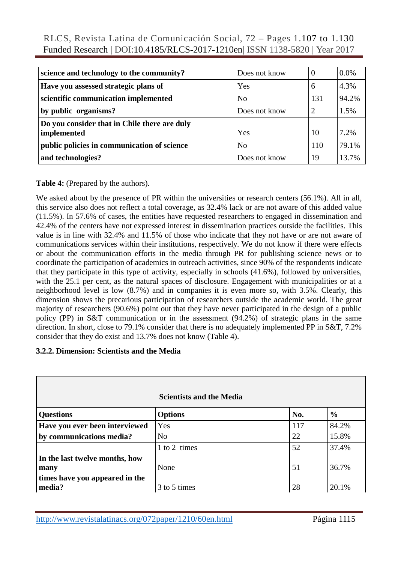| science and technology to the community?     | Does not know  | $\theta$ | 0.0%  |
|----------------------------------------------|----------------|----------|-------|
| Have you assessed strategic plans of         | Yes            | 6        | 4.3%  |
| scientific communication implemented         | N <sub>o</sub> | 131      | 94.2% |
| by public organisms?                         | Does not know  | 2        | 1.5%  |
| Do you consider that in Chile there are duly |                |          |       |
| implemented                                  | Yes            | 10       | 7.2%  |
| public policies in communication of science  | N <sub>0</sub> | 110      | 79.1% |
| and technologies?                            | Does not know  | 19       | 13.7% |

#### **Table 4:** (Prepared by the authors).

We asked about by the presence of PR within the universities or research centers (56.1%). All in all, this service also does not reflect a total coverage, as 32.4% lack or are not aware of this added value (11.5%). In 57.6% of cases, the entities have requested researchers to engaged in dissemination and 42.4% of the centers have not expressed interest in dissemination practices outside the facilities. This value is in line with 32.4% and 11.5% of those who indicate that they not have or are not aware of communications services within their institutions, respectively. We do not know if there were effects or about the communication efforts in the media through PR for publishing science news or to coordinate the participation of academics in outreach activities, since 90% of the respondents indicate that they participate in this type of activity, especially in schools (41.6%), followed by universities, with the 25.1 per cent, as the natural spaces of disclosure. Engagement with municipalities or at a neighborhood level is low (8.7%) and in companies it is even more so, with 3.5%. Clearly, this dimension shows the precarious participation of researchers outside the academic world. The great majority of researchers (90.6%) point out that they have never participated in the design of a public policy (PP) in S&T communication or in the assessment (94.2%) of strategic plans in the same direction. In short, close to 79.1% consider that there is no adequately implemented PP in S&T, 7.2% consider that they do exist and 13.7% does not know (Table 4).

#### **3.2.2. Dimension: Scientists and the Media**

|                                                                          | <b>Scientists and the Media</b> |     |               |
|--------------------------------------------------------------------------|---------------------------------|-----|---------------|
| <b>Questions</b>                                                         | <b>Options</b>                  | No. | $\frac{6}{6}$ |
| Have you ever been interviewed                                           | Yes                             | 117 | 84.2%         |
| by communications media?                                                 | N <sub>0</sub>                  | 22  | 15.8%         |
|                                                                          | 1 to 2 times                    | 52  | 37.4%         |
| In the last twelve months, how<br>many<br>times have you appeared in the | None                            | 51  | 36.7%         |
| media?                                                                   | 3 to 5 times                    | 28  | 20.1%         |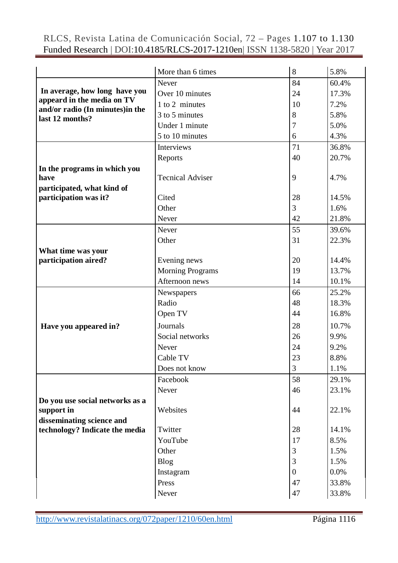|                                                    | More than 6 times       | 8              | 5.8%  |
|----------------------------------------------------|-------------------------|----------------|-------|
|                                                    | Never                   | 84             | 60.4% |
| In average, how long have you                      | Over 10 minutes         | 24             | 17.3% |
| appeard in the media on TV                         | 1 to 2 minutes          | 10             | 7.2%  |
| and/or radio (In minutes)in the<br>last 12 months? | 3 to 5 minutes          | 8              | 5.8%  |
|                                                    | Under 1 minute          | 7              | 5.0%  |
|                                                    | 5 to 10 minutes         | 6              | 4.3%  |
|                                                    | Interviews              | 71             | 36.8% |
|                                                    | Reports                 | 40             | 20.7% |
| In the programs in which you                       |                         |                |       |
| have                                               | <b>Tecnical Adviser</b> | 9              | 4.7%  |
| participated, what kind of                         |                         |                |       |
| participation was it?                              | Cited                   | 28             | 14.5% |
|                                                    | Other                   | 3              | 1.6%  |
|                                                    | Never                   | 42             | 21.8% |
|                                                    | Never                   | 55             | 39.6% |
|                                                    | Other                   | 31             | 22.3% |
| What time was your                                 |                         |                |       |
| participation aired?                               | Evening news            | 20             | 14.4% |
|                                                    | <b>Morning Programs</b> | 19             | 13.7% |
|                                                    | Afternoon news          | 14             | 10.1% |
|                                                    | Newspapers              | 66             | 25.2% |
|                                                    | Radio                   | 48             | 18.3% |
|                                                    | Open TV                 | 44             | 16.8% |
| Have you appeared in?                              | Journals                | 28             | 10.7% |
|                                                    | Social networks         | 26             | 9.9%  |
|                                                    | Never                   | 24             | 9.2%  |
|                                                    | Cable TV                | 23             | 8.8%  |
|                                                    | Does not know           | 3              | 1.1%  |
|                                                    | Facebook                | 58             | 29.1% |
|                                                    | Never                   | 46             | 23.1% |
| Do you use social networks as a                    |                         |                |       |
| support in                                         | Websites                | 44             | 22.1% |
| disseminating science and                          |                         |                |       |
| technology? Indicate the media                     | Twitter                 | 28             | 14.1% |
|                                                    | YouTube                 | 17             | 8.5%  |
|                                                    | Other                   | 3              | 1.5%  |
|                                                    | <b>Blog</b>             | 3              | 1.5%  |
|                                                    | Instagram               | $\overline{0}$ | 0.0%  |
|                                                    | Press                   | 47             | 33.8% |
|                                                    | Never                   | 47             | 33.8% |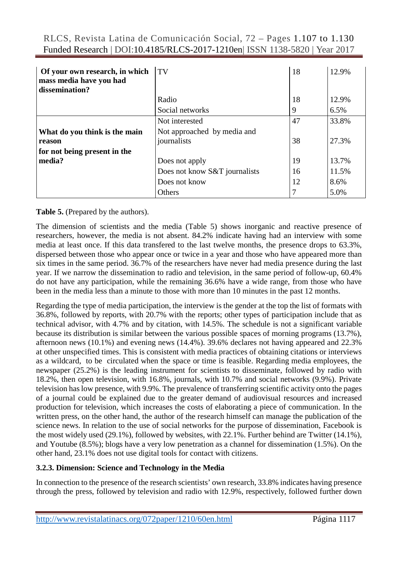| RLCS, Revista Latina de Comunicación Social, 72 – Pages 1.107 to 1.130     |  |  |  |  |  |
|----------------------------------------------------------------------------|--|--|--|--|--|
| Funded Research   DOI:10.4185/RLCS-2017-1210en  ISSN 1138-5820   Year 2017 |  |  |  |  |  |

| Of your own research, in which<br>mass media have you had<br>dissemination? | $\overline{\text{TV}}$                     | 18 | 12.9% |
|-----------------------------------------------------------------------------|--------------------------------------------|----|-------|
|                                                                             | Radio                                      | 18 | 12.9% |
|                                                                             | Social networks                            | 9  | 6.5%  |
|                                                                             | Not interested                             | 47 | 33.8% |
| What do you think is the main<br>reason                                     | Not approached by media and<br>journalists | 38 | 27.3% |
| for not being present in the<br>media?                                      | Does not apply                             | 19 | 13.7% |
|                                                                             | Does not know S&T journalists              | 16 | 11.5% |
|                                                                             | Does not know                              | 12 | 8.6%  |
|                                                                             | Others                                     | 7  | 5.0%  |

**Table 5.** (Prepared by the authors).

The dimension of scientists and the media (Table 5) shows inorganic and reactive presence of researchers, however, the media is not absent. 84.2% indicate having had an interview with some media at least once. If this data transfered to the last twelve months, the presence drops to 63.3%, dispersed between those who appear once or twice in a year and those who have appeared more than six times in the same period. 36.7% of the researchers have never had media presence during the last year. If we narrow the dissemination to radio and television, in the same period of follow-up, 60.4% do not have any participation, while the remaining 36.6% have a wide range, from those who have been in the media less than a minute to those with more than 10 minutes in the past 12 months.

Regarding the type of media participation, the interview is the gender at the top the list of formats with 36.8%, followed by reports, with 20.7% with the reports; other types of participation include that as technical advisor, with 4.7% and by citation, with 14.5%. The schedule is not a significant variable because its distribution is similar between the various possible spaces of morning programs (13.7%), afternoon news (10.1%) and evening news (14.4%). 39.6% declares not having appeared and 22.3% at other unspecified times. This is consistent with media practices of obtaining citations or interviews as a wildcard, to be circulated when the space or time is feasible. Regarding media employees, the newspaper (25.2%) is the leading instrument for scientists to disseminate, followed by radio with 18.2%, then open television, with 16.8%, journals, with 10.7% and social networks (9.9%). Private television has low presence, with 9.9%. The prevalence of transferring scientific activity onto the pages of a journal could be explained due to the greater demand of audiovisual resources and increased production for television, which increases the costs of elaborating a piece of communication. In the written press, on the other hand, the author of the research himself can manage the publication of the science news. In relation to the use of social networks for the purpose of dissemination, Facebook is the most widely used (29.1%), followed by websites, with 22.1%. Further behind are Twitter (14.1%), and Youtube (8.5%); blogs have a very low penetration as a channel for dissemination (1.5%). On the other hand, 23.1% does not use digital tools for contact with citizens.

# **3.2.3. Dimension: Science and Technology in the Media**

In connection to the presence of the research scientists' own research, 33.8% indicates having presence through the press, followed by television and radio with 12.9%, respectively, followed further down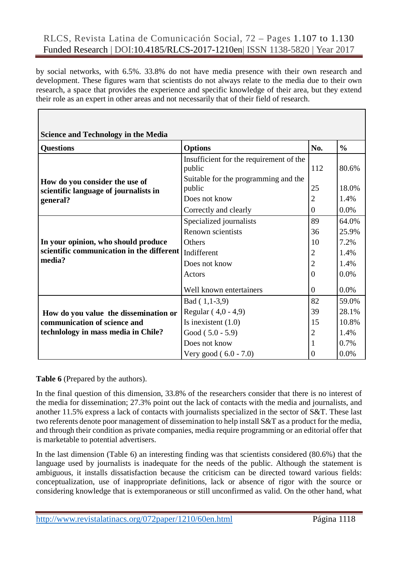by social networks, with 6.5%. 33.8% do not have media presence with their own research and development. These figures warn that scientists do not always relate to the media due to their own research, a space that provides the experience and specific knowledge of their area, but they extend their role as an expert in other areas and not necessarily that of their field of research.

| <b>Questions</b>                                  | <b>Options</b>                                    | No.            | $\frac{0}{0}$ |
|---------------------------------------------------|---------------------------------------------------|----------------|---------------|
|                                                   | Insufficient for the requirement of the<br>public | 112            | 80.6%         |
| How do you consider the use of                    | Suitable for the programming and the<br>public    | 25             | 18.0%         |
| scientific language of journalists in<br>general? | Does not know                                     | $\overline{2}$ | 1.4%          |
|                                                   | Correctly and clearly                             | $\Omega$       | 0.0%          |
|                                                   | Specialized journalists                           | 89             | 64.0%         |
|                                                   | Renown scientists                                 | 36             | 25.9%         |
| In your opinion, who should produce               | Others                                            | 10             | 7.2%          |
| scientific communication in the different         | Indifferent                                       | $\overline{2}$ | 1.4%          |
| media?                                            | Does not know                                     | $\overline{2}$ | 1.4%          |
|                                                   | Actors                                            | $\Omega$       | 0.0%          |
|                                                   | Well known entertainers                           | $\Omega$       | 0.0%          |
|                                                   | $Bad (1, 1-3, 9)$                                 | 82             | 59.0%         |
| How do you value the dissemination or             | Regular (4,0 - 4,9)                               | 39             | 28.1%         |
| communication of science and                      | Is inexistent $(1.0)$                             | 15             | 10.8%         |
| technlology in mass media in Chile?               | Good $(5.0 - 5.9)$                                |                | 1.4%          |
|                                                   | Does not know                                     | $\mathbf{1}$   | 0.7%          |
|                                                   | Very good $(6.0 - 7.0)$                           | $\Omega$       | 0.0%          |

#### **Table 6** (Prepared by the authors).

In the final question of this dimension, 33.8% of the researchers consider that there is no interest of the media for dissemination; 27.3% point out the lack of contacts with the media and journalists, and another 11.5% express a lack of contacts with journalists specialized in the sector of S&T. These last two referents denote poor management of dissemination to help install S&T as a product for the media, and through their condition as private companies, media require programming or an editorial offer that is marketable to potential advertisers.

In the last dimension (Table 6) an interesting finding was that scientists considered (80.6%) that the language used by journalists is inadequate for the needs of the public. Although the statement is ambiguous, it installs dissatisfaction because the criticism can be directed toward various fields: conceptualization, use of inappropriate definitions, lack or absence of rigor with the source or considering knowledge that is extemporaneous or still unconfirmed as valid. On the other hand, what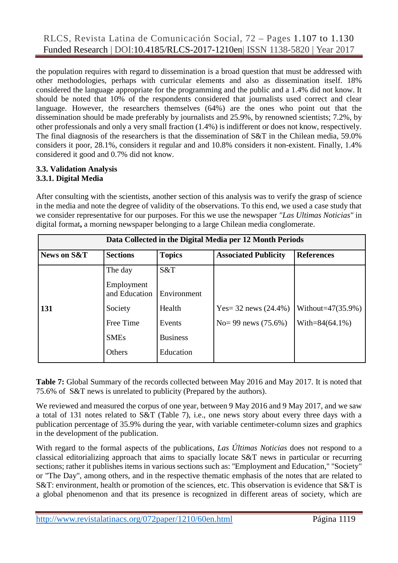the population requires with regard to dissemination is a broad question that must be addressed with other methodologies, perhaps with curricular elements and also as dissemination itself. 18% considered the language appropriate for the programming and the public and a 1.4% did not know. It should be noted that 10% of the respondents considered that journalists used correct and clear language. However, the researchers themselves (64%) are the ones who point out that the dissemination should be made preferably by journalists and 25.9%, by renowned scientists; 7.2%, by other professionals and only a very small fraction (1.4%) is indifferent or does not know, respectively. The final diagnosis of the researchers is that the dissemination of S&T in the Chilean media, 59.0% considers it poor, 28.1%, considers it regular and and 10.8% considers it non-existent. Finally, 1.4% considered it good and 0.7% did not know.

#### **3.3. Validation Analysis 3.3.1. Digital Media**

After consulting with the scientists, another section of this analysis was to verify the grasp of science in the media and note the degree of validity of the observations. To this end, we used a case study that we consider representative for our purposes. For this we use the newspaper *"Las Ultimas Noticias"* in digital format**,** a morning newspaper belonging to a large Chilean media conglomerate.

| Data Collected in the Digital Media per 12 Month Periods |                             |                 |                             |                       |  |  |
|----------------------------------------------------------|-----------------------------|-----------------|-----------------------------|-----------------------|--|--|
| News on S&T                                              | <b>Sections</b>             | <b>Topics</b>   | <b>Associated Publicity</b> | <b>References</b>     |  |  |
|                                                          | The day                     | S&T             |                             |                       |  |  |
|                                                          | Employment<br>and Education | Environment     |                             |                       |  |  |
| 131                                                      | Society                     | Health          | Yes= 32 news $(24.4\%)$     | Without= $47(35.9\%)$ |  |  |
|                                                          | Free Time                   | Events          | No= 99 news $(75.6\%)$      | With= $84(64.1\%)$    |  |  |
|                                                          | <b>SMEs</b>                 | <b>Business</b> |                             |                       |  |  |
|                                                          | Others                      | Education       |                             |                       |  |  |

**Table 7:** Global Summary of the records collected between May 2016 and May 2017. It is noted that 75.6% of S&T news is unrelated to publicity (Prepared by the authors).

We reviewed and measured the corpus of one year, between 9 May 2016 and 9 May 2017, and we saw a total of 131 notes related to S&T (Table 7), i.e., one news story about every three days with a publication percentage of 35.9% during the year, with variable centimeter-column sizes and graphics in the development of the publication.

With regard to the formal aspects of the publications, *Las Últimas Noticias* does not respond to a classical editorializing approach that aims to spacially locate S&T news in particular or recurring sections; rather it publishes items in various sections such as: "Employment and Education," "Society" or "The Day", among others, and in the respective thematic emphasis of the notes that are related to S&T: environment, health or promotion of the sciences, etc. This observation is evidence that S&T is a global phenomenon and that its presence is recognized in different areas of society, which are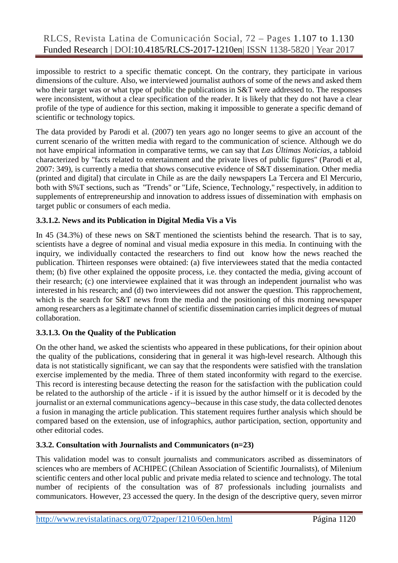impossible to restrict to a specific thematic concept. On the contrary, they participate in various dimensions of the culture. Also, we interviewed journalist authors of some of the news and asked them who their target was or what type of public the publications in S&T were addressed to. The responses were inconsistent, without a clear specification of the reader. It is likely that they do not have a clear profile of the type of audience for this section, making it impossible to generate a specific demand of scientific or technology topics.

The data provided by Parodi et al. (2007) ten years ago no longer seems to give an account of the current scenario of the written media with regard to the communication of science. Although we do not have empirical information in comparative terms, we can say that *Las Últimas Noticias,* a tabloid characterized by "facts related to entertainment and the private lives of public figures" (Parodi et al, 2007: 349), is currently a media that shows consecutive evidence of S&T dissemination. Other media (printed and digital) that circulate in Chile as are the daily newspapers La Tercera and El Mercurio, both with S%T sections, such as "Trends" or "Life, Science, Technology," respectively, in addition to supplements of entrepreneurship and innovation to address issues of dissemination with emphasis on target public or consumers of each media.

# **3.3.1.2. News and its Publication in Digital Media Vis a Vis**

In 45 (34.3%) of these news on S&T mentioned the scientists behind the research. That is to say, scientists have a degree of nominal and visual media exposure in this media. In continuing with the inquiry, we individually contacted the researchers to find out know how the news reached the publication. Thirteen responses were obtained: (a) five interviewees stated that the media contacted them; (b) five other explained the opposite process, i.e. they contacted the media, giving account of their research; (c) one interviewee explained that it was through an independent journalist who was interested in his research; and (d) two interviewees did not answer the question. This rapprochement, which is the search for S&T news from the media and the positioning of this morning newspaper among researchers as a legitimate channel of scientific dissemination carries implicit degrees of mutual collaboration.

# **3.3.1.3. On the Quality of the Publication**

On the other hand, we asked the scientists who appeared in these publications, for their opinion about the quality of the publications, considering that in general it was high-level research. Although this data is not statistically significant, we can say that the respondents were satisfied with the translation exercise implemented by the media. Three of them stated inconformity with regard to the exercise. This record is interesting because detecting the reason for the satisfaction with the publication could be related to the authorship of the article - if it is issued by the author himself or it is decoded by the journalist or an external communications agency--because in this case study, the data collected denotes a fusion in managing the article publication. This statement requires further analysis which should be compared based on the extension, use of infographics, author participation, section, opportunity and other editorial codes.

# **3.3.2. Consultation with Journalists and Communicators (n=23)**

This validation model was to consult journalists and communicators ascribed as disseminators of sciences who are members of ACHIPEC (Chilean Association of Scientific Journalists), of Milenium scientific centers and other local public and private media related to science and technology. The total number of recipients of the consultation was of 87 professionals including journalists and communicators. However, 23 accessed the query. In the design of the descriptive query, seven mirror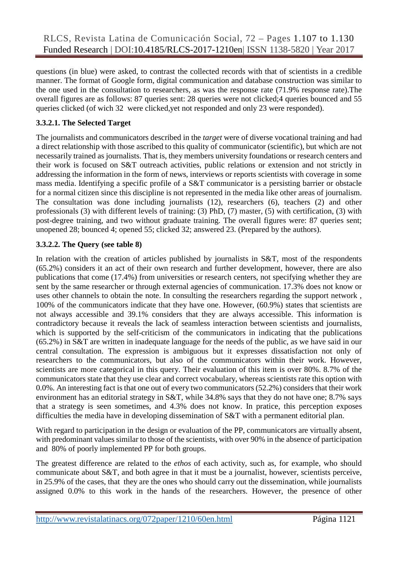questions (in blue) were asked, to contrast the collected records with that of scientists in a credible manner. The format of Google form, digital communication and database construction was similar to the one used in the consultation to researchers, as was the response rate (71.9% response rate).The overall figures are as follows: 87 queries sent: 28 queries were not clicked;4 queries bounced and 55 queries clicked (of wich 32 were clicked,yet not responded and only 23 were responded).

# **3.3.2.1. The Selected Target**

The journalists and communicators described in the *target* were of diverse vocational training and had a direct relationship with those ascribed to this quality of communicator (scientific), but which are not necessarily trained as journalists. That is, they members university foundations or research centers and their work is focused on S&T outreach activities, public relations or extension and not strictly in addressing the information in the form of news, interviews or reports scientists with coverage in some mass media. Identifying a specific profile of a S&T communicator is a persisting barrier or obstacle for a normal citizen since this discipline is not represented in the media like other areas of journalism. The consultation was done including journalists (12), researchers (6), teachers (2) and other professionals (3) with different levels of training: (3) PhD, (7) master, (5) with certification, (3) with post-degree training, and two without graduate training. The overall figures were: 87 queries sent; unopened 28; bounced 4; opened 55; clicked 32; answered 23. (Prepared by the authors).

# **3.3.2.2. The Query (see table 8)**

In relation with the creation of articles published by journalists in S&T, most of the respondents (65.2%) considers it an act of their own research and further development, however, there are also publications that come (17.4%) from universities or research centers, not specifying whether they are sent by the same researcher or through external agencies of communication. 17.3% does not know or uses other channels to obtain the note. In consulting the researchers regarding the support network , 100% of the communicators indicate that they have one. However, (60.9%) states that scientists are not always accessible and 39.1% considers that they are always accessible. This information is contradictory because it reveals the lack of seamless interaction between scientists and journalists, which is supported by the self-criticism of the communicators in indicating that the publications (65.2%) in S&T are written in inadequate language for the needs of the public, as we have said in our central consultation. The expression is ambiguous but it expresses dissatisfaction not only of researchers to the communicators, but also of the communicators within their work. However, scientists are more categorical in this query. Their evaluation of this item is over 80%. 8.7% of the communicators state that they use clear and correct vocabulary, whereas scientists rate this option with 0.0%. An interesting fact is that one out of every two communicators (52.2%) considers that their work environment has an editorial strategy in S&T, while 34.8% says that they do not have one; 8.7% says that a strategy is seen sometimes, and 4.3% does not know. In pratice, this perception exposes difficulties the media have in developing dissemination of S&T with a permanent editorial plan.

With regard to participation in the design or evaluation of the PP, communicators are virtually absent, with predominant values similar to those of the scientists, with over 90% in the absence of participation and 80% of poorly implemented PP for both groups.

The greatest difference are related to the *ethos* of each activity, such as, for example, who should communicate about S&T, and both agree in that it must be a journalist, however, scientists perceive, in 25.9% of the cases, that they are the ones who should carry out the dissemination, while journalists assigned 0.0% to this work in the hands of the researchers. However, the presence of other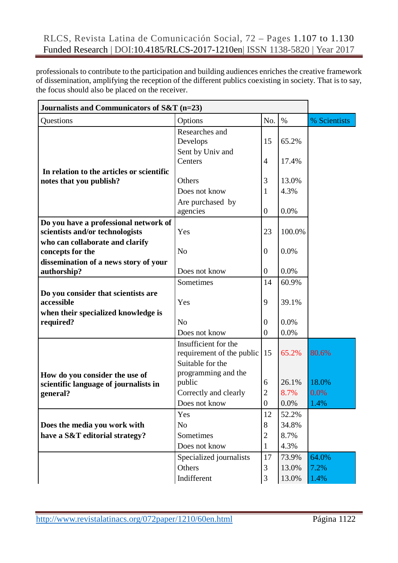professionals to contribute to the participation and building audiences enriches the creative framework of dissemination, amplifying the reception of the different publics coexisting in society. That is to say, the focus should also be placed on the receiver.

| Journalists and Communicators of S&T (n=23)         |                                                   |                                  |              |              |  |
|-----------------------------------------------------|---------------------------------------------------|----------------------------------|--------------|--------------|--|
| Questions                                           | Options                                           | No.                              | $\%$         | % Scientists |  |
|                                                     | Researches and<br>Develops                        | 15                               | 65.2%        |              |  |
| In relation to the articles or scientific           | Sent by Univ and<br>Centers                       | $\overline{4}$                   | 17.4%        |              |  |
| notes that you publish?                             | Others                                            | 3                                | 13.0%        |              |  |
|                                                     | Does not know                                     | 1                                | 4.3%         |              |  |
|                                                     | Are purchased by                                  |                                  |              |              |  |
|                                                     | agencies                                          | $\boldsymbol{0}$                 | 0.0%         |              |  |
| Do you have a professional network of               |                                                   |                                  |              |              |  |
| scientists and/or technologists                     | Yes                                               | 23                               | 100.0%       |              |  |
| who can collaborate and clarify<br>concepts for the | N <sub>o</sub>                                    | $\boldsymbol{0}$                 | 0.0%         |              |  |
| dissemination of a news story of your               |                                                   |                                  |              |              |  |
| authorship?                                         | Does not know                                     | $\boldsymbol{0}$                 | 0.0%         |              |  |
|                                                     | Sometimes                                         | 14                               | 60.9%        |              |  |
| Do you consider that scientists are<br>accessible   | Yes                                               | 9                                | 39.1%        |              |  |
| when their specialized knowledge is                 |                                                   |                                  |              |              |  |
| required?                                           | N <sub>o</sub><br>Does not know                   | $\overline{0}$<br>$\overline{0}$ | 0.0%<br>0.0% |              |  |
|                                                     |                                                   |                                  |              |              |  |
|                                                     | Insufficient for the<br>requirement of the public | 15                               | 65.2%        | 80.6%        |  |
|                                                     | Suitable for the                                  |                                  |              |              |  |
| How do you consider the use of                      | programming and the<br>public                     | 6                                | 26.1%        | 18.0%        |  |
| scientific language of journalists in<br>general?   | Correctly and clearly                             | $\overline{2}$                   | 8.7%         | 0.0%         |  |
|                                                     | Does not know                                     | $\boldsymbol{0}$                 | 0.0%         | 1.4%         |  |
|                                                     | Yes                                               | 12                               | 52.2%        |              |  |
| Does the media you work with                        | N <sub>o</sub>                                    | 8                                | 34.8%        |              |  |
| have a S&T editorial strategy?                      | Sometimes                                         | $\overline{2}$                   | 8.7%         |              |  |
|                                                     | Does not know                                     | 1                                | 4.3%         |              |  |
|                                                     | Specialized journalists                           | 17                               | 73.9%        | 64.0%        |  |
|                                                     | Others                                            | 3                                | 13.0%        | 7.2%         |  |
|                                                     | Indifferent                                       | 3                                | 13.0%        | 1.4%         |  |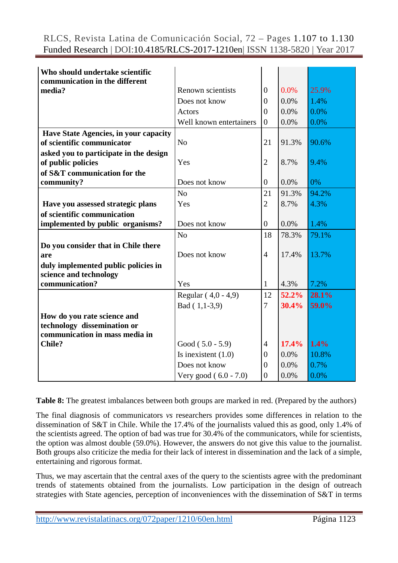| Who should undertake scientific          |                         |                |       |       |
|------------------------------------------|-------------------------|----------------|-------|-------|
| communication in the different<br>media? | Renown scientists       |                | 0.0%  | 25.9% |
|                                          |                         | $\theta$       |       |       |
|                                          | Does not know           | $\overline{0}$ | 0.0%  | 1.4%  |
|                                          | Actors                  | $\overline{0}$ | 0.0%  | 0.0%  |
|                                          | Well known entertainers | $\overline{0}$ | 0.0%  | 0.0%  |
| Have State Agencies, in your capacity    |                         |                |       |       |
| of scientific communicator               | N <sub>o</sub>          | 21             | 91.3% | 90.6% |
| asked you to participate in the design   |                         |                |       |       |
| of public policies                       | Yes                     | $\overline{2}$ | 8.7%  | 9.4%  |
| of S&T communication for the             |                         |                |       |       |
| community?                               | Does not know           | $\overline{0}$ | 0.0%  | 0%    |
|                                          | N <sub>o</sub>          | 21             | 91.3% | 94.2% |
| Have you assessed strategic plans        | Yes                     | $\overline{2}$ | 8.7%  | 4.3%  |
| of scientific communication              |                         |                |       |       |
| implemented by public organisms?         | Does not know           | $\overline{0}$ | 0.0%  | 1.4%  |
|                                          | N <sub>o</sub>          | 18             | 78.3% | 79.1% |
| Do you consider that in Chile there      |                         |                |       |       |
| are                                      | Does not know           | $\overline{4}$ | 17.4% | 13.7% |
| duly implemented public policies in      |                         |                |       |       |
| science and technology                   |                         |                |       |       |
| communication?                           | Yes                     | 1              | 4.3%  | 7.2%  |
|                                          | Regular (4,0 - 4,9)     | 12             | 52.2% | 28.1% |
|                                          | Bad (1,1-3,9)           | 7              | 30.4% | 59.0% |
| How do you rate science and              |                         |                |       |       |
| technology dissemination or              |                         |                |       |       |
| communication in mass media in           |                         |                |       |       |
| <b>Chile?</b>                            | Good $(5.0 - 5.9)$      | $\overline{4}$ | 17.4% | 1.4%  |
|                                          | Is inexistent $(1.0)$   | $\overline{0}$ | 0.0%  | 10.8% |
|                                          | Does not know           | $\overline{0}$ | 0.0%  | 0.7%  |
|                                          |                         |                |       |       |
|                                          | Very good $(6.0 - 7.0)$ | $\overline{0}$ | 0.0%  | 0.0%  |

**Table 8:** The greatest imbalances between both groups are marked in red. (Prepared by the authors)

The final diagnosis of communicators *vs* researchers provides some differences in relation to the dissemination of S&T in Chile. While the 17.4% of the journalists valued this as good, only 1.4% of the scientists agreed. The option of bad was true for 30.4% of the communicators, while for scientists, the option was almost double (59.0%). However, the answers do not give this value to the journalist. Both groups also criticize the media for their lack of interest in dissemination and the lack of a simple, entertaining and rigorous format.

Thus, we may ascertain that the central axes of the query to the scientists agree with the predominant trends of statements obtained from the journalists. Low participation in the design of outreach strategies with State agencies, perception of inconveniences with the dissemination of S&T in terms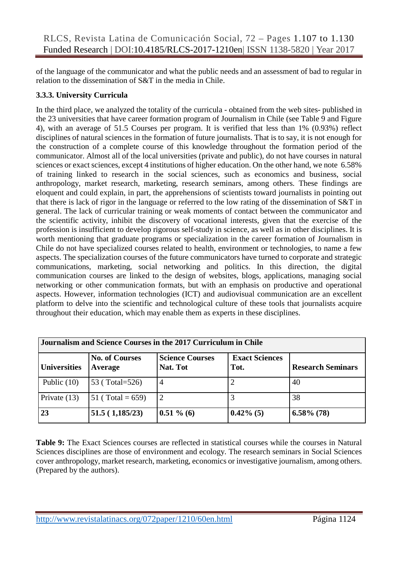of the language of the communicator and what the public needs and an assessment of bad to regular in relation to the dissemination of S&T in the media in Chile.

# **3.3.3. University Curricula**

In the third place, we analyzed the totality of the curricula - obtained from the web sites- published in the 23 universities that have career formation program of Journalism in Chile (see Table 9 and Figure 4), with an average of 51.5 Courses per program. It is verified that less than 1% (0.93%) reflect disciplines of natural sciences in the formation of future journalists. That is to say, it is not enough for the construction of a complete course of this knowledge throughout the formation period of the communicator. Almost all of the local universities (private and public), do not have courses in natural sciences or exact sciences, except 4 institutions of higher education. On the other hand, we note 6.58% of training linked to research in the social sciences, such as economics and business, social anthropology, market research, marketing, research seminars, among others. These findings are eloquent and could explain, in part, the apprehensions of scientists toward journalists in pointing out that there is lack of rigor in the language or referred to the low rating of the dissemination of S&T in general. The lack of curricular training or weak moments of contact between the communicator and the scientific activity, inhibit the discovery of vocational interests, given that the exercise of the profession is insufficient to develop rigorous self-study in science, as well as in other disciplines. It is worth mentioning that graduate programs or specialization in the career formation of Journalism in Chile do not have specialized courses related to health, environment or technologies, to name a few aspects. The specialization courses of the future communicators have turned to corporate and strategic communications, marketing, social networking and politics. In this direction, the digital communication courses are linked to the design of websites, blogs, applications, managing social networking or other communication formats, but with an emphasis on productive and operational aspects. However, information technologies (ICT) and audiovisual communication are an excellent platform to delve into the scientific and technological culture of these tools that journalists acquire throughout their education, which may enable them as experts in these disciplines.

| Journalism and Science Courses in the 2017 Curriculum in Chile |                                  |                                    |                               |                          |  |  |
|----------------------------------------------------------------|----------------------------------|------------------------------------|-------------------------------|--------------------------|--|--|
| <b>Universities</b>                                            | <b>No. of Courses</b><br>Average | <b>Science Courses</b><br>Nat. Tot | <b>Exact Sciences</b><br>Tot. | <b>Research Seminars</b> |  |  |
| Public $(10)$                                                  | 53 (Total=526)                   | 4                                  | $\overline{2}$                | 40                       |  |  |
| Private $(13)$                                                 | 51 (Total = $659$ )              | 2                                  | 3                             | 38                       |  |  |
| 23                                                             | 51.5(1,185/23)                   | $0.51 \% (6)$                      | $0.42\%$ (5)                  | $6.58\%$ (78)            |  |  |

**Table 9:** The Exact Sciences courses are reflected in statistical courses while the courses in Natural Sciences disciplines are those of environment and ecology. The research seminars in Social Sciences cover anthropology, market research, marketing, economics or investigative journalism, among others. (Prepared by the authors).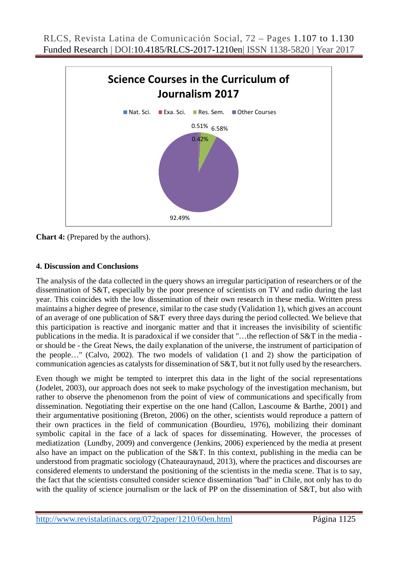

**Chart 4:** (Prepared by the authors).

#### **4. Discussion and Conclusions**

The analysis of the data collected in the query shows an irregular participation of researchers or of the dissemination of S&T, especially by the poor presence of scientists on TV and radio during the last year. This coincides with the low dissemination of their own research in these media. Written press maintains a higher degree of presence, similar to the case study (Validation 1), which gives an account of an average of one publication of S&T every three days during the period collected. We believe that this participation is reactive and inorganic matter and that it increases the invisibility of scientific publications in the media. It is paradoxical if we consider that "…the reflection of S&T in the media or should be - the Great News, the daily explanation of the universe, the instrument of participation of the people…" (Calvo, 2002). The two models of validation (1 and 2) show the participation of communication agencies as catalysts for dissemination of S&T, but it not fully used by the researchers.

Even though we might be tempted to interpret this data in the light of the social representations (Jodelet, 2003), our approach does not seek to make psychology of the investigation mechanism, but rather to observe the phenomenon from the point of view of communications and specifically from dissemination. Negotiating their expertise on the one hand (Callon, Lascoume & Barthe, 2001) and their argumentative positioning (Breton, 2006) on the other, scientists would reproduce a pattern of their own practices in the field of communication (Bourdieu, 1976), mobilizing their dominant symbolic capital in the face of a lack of spaces for disseminating. However, the processes of mediatization (Lundby, 2009) and convergence (Jenkins, 2006) experienced by the media at present also have an impact on the publication of the S&T. In this context, publishing in the media can be understood from pragmatic sociology (Chateauraynaud, 2013), where the practices and discourses are considered elements to understand the positioning of the scientists in the media scene. That is to say, the fact that the scientists consulted consider science dissemination "bad" in Chile, not only has to do with the quality of science journalism or the lack of PP on the dissemination of S&T, but also with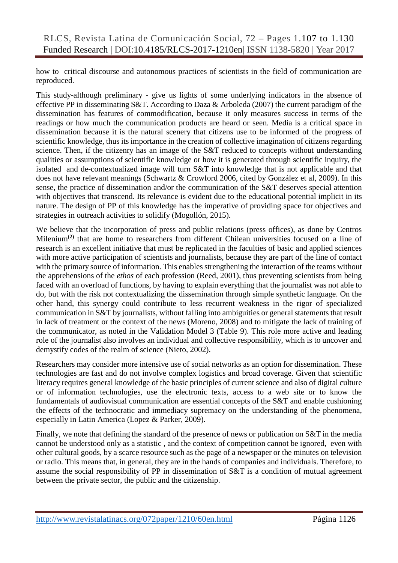how to critical discourse and autonomous practices of scientists in the field of communication are reproduced.

This study-although preliminary - give us lights of some underlying indicators in the absence of effective PP in disseminating S&T. According to Daza & Arboleda (2007) the current paradigm of the dissemination has features of commodification, because it only measures success in terms of the readings or how much the communication products are heard or seen. Media is a critical space in dissemination because it is the natural scenery that citizens use to be informed of the progress of scientific knowledge, thus its importance in the creation of collective imagination of citizens regarding science. Then, if the citizenry has an image of the S&T reduced to concepts without understanding qualities or assumptions of scientific knowledge or how it is generated through scientific inquiry, the isolated and de-contextualized image will turn S&T into knowledge that is not applicable and that does not have relevant meanings (Schwartz & Crowford 2006, cited by González et al, 2009). In this sense, the practice of dissemination and/or the communication of the S&T deserves special attention with objectives that transcend. Its relevance is evident due to the educational potential implicit in its nature. The design of PP of this knowledge has the imperative of providing space for objectives and strategies in outreach activities to solidify (Mogollón, 2015).

We believe that the incorporation of press and public relations (press offices), as done by Centros Milenium**(2)** that are home to researchers from different Chilean universities focused on a line of research is an excellent initiative that must be replicated in the faculties of basic and applied sciences with more active participation of scientists and journalists, because they are part of the line of contact with the primary source of information. This enables strengthening the interaction of the teams without the apprehensions of the *ethos* of each profession (Reed, 2001), thus preventing scientists from being faced with an overload of functions, by having to explain everything that the journalist was not able to do, but with the risk not contextualizing the dissemination through simple synthetic language. On the other hand, this synergy could contribute to less recurrent weakness in the rigor of specialized communication in S&T by journalists, without falling into ambiguities or general statements that result in lack of treatment or the context of the news (Moreno, 2008) and to mitigate the lack of training of the communicator, as noted in the Validation Model 3 (Table 9). This role more active and leading role of the journalist also involves an individual and collective responsibility, which is to uncover and demystify codes of the realm of science (Nieto, 2002).

Researchers may consider more intensive use of social networks as an option for dissemination. These technologies are fast and do not involve complex logistics and broad coverage. Given that scientific literacy requires general knowledge of the basic principles of current science and also of digital culture or of information technologies, use the electronic texts, access to a web site or to know the fundamentals of audiovisual communication are essential concepts of the S&T and enable cushioning the effects of the technocratic and immediacy supremacy on the understanding of the phenomena, especially in Latin America (Lopez & Parker, 2009).

Finally, we note that defining the standard of the presence of news or publication on S&T in the media cannot be understood only as a statistic , and the context of competition cannot be ignored, even with other cultural goods, by a scarce resource such as the page of a newspaper or the minutes on television or radio. This means that, in general, they are in the hands of companies and individuals. Therefore, to assume the social responsibility of PP in dissemination of S&T is a condition of mutual agreement between the private sector, the public and the citizenship.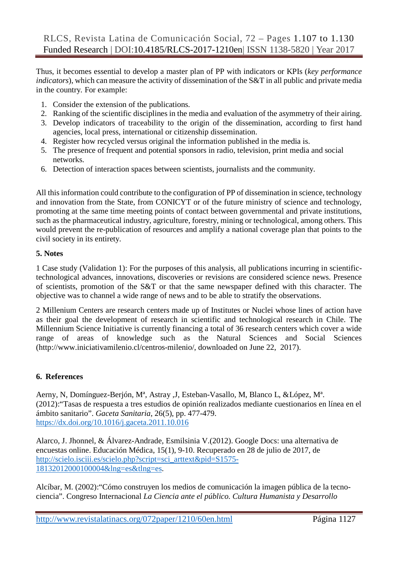Thus, it becomes essential to develop a master plan of PP with indicators or KPIs (*key performance indicators*), which can measure the activity of dissemination of the S&T in all public and private media in the country. For example:

- 1. Consider the extension of the publications.
- 2. Ranking of the scientific disciplines in the media and evaluation of the asymmetry of their airing.
- 3. Develop indicators of traceability to the origin of the dissemination, according to first hand agencies, local press, international or citizenship dissemination.
- 4. Register how recycled versus original the information published in the media is.
- 5. The presence of frequent and potential sponsors in radio, television, print media and social networks.
- 6. Detection of interaction spaces between scientists, journalists and the community.

All this information could contribute to the configuration of PP of dissemination in science, technology and innovation from the State, from CONICYT or of the future ministry of science and technology, promoting at the same time meeting points of contact between governmental and private institutions, such as the pharmaceutical industry, agriculture, forestry, mining or technological, among others. This would prevent the re-publication of resources and amplify a national coverage plan that points to the civil society in its entirety.

#### **5. Notes**

1 Case study (Validation 1): For the purposes of this analysis, all publications incurring in scientifictechnological advances, innovations, discoveries or revisions are considered science news. Presence of scientists, promotion of the S&T or that the same newspaper defined with this character. The objective was to channel a wide range of news and to be able to stratify the observations.

2 Millenium Centers are research centers made up of Institutes or Nuclei whose lines of action have as their goal the development of research in scientific and technological research in Chile. The Millennium Science Initiative is currently financing a total of 36 research centers which cover a wide range of areas of knowledge such as the Natural Sciences and Social Sciences (http://www.iniciativamilenio.cl/centros-milenio/, downloaded on June 22, 2017).

# **6. References**

Aerny, N, Domínguez-Berjón, Mª, Astray ,J, Esteban-Vasallo, M, Blanco L, &López, Mª. (2012):"Tasas de respuesta a tres estudios de opinión realizados mediante cuestionarios en línea en el ámbito sanitario". *Gaceta Sanitaria*, 26(5), pp. 477-479. <https://dx.doi.org/10.1016/j.gaceta.2011.10.016>

Alarco, J. Jhonnel, & Álvarez-Andrade, Esmilsinia V.(2012). Google Docs: una alternativa de encuestas online. Educación Médica, 15(1), 9-10. Recuperado en 28 de julio de 2017, de [http://scielo.isciii.es/scielo.php?script=sci\\_arttext&pid=S1575-](http://scielo.isciii.es/scielo.php?script=sci_arttext&pid=S1575-18132012000100004&lng=es&tlng=es) [18132012000100004&lng=es&tlng=es.](http://scielo.isciii.es/scielo.php?script=sci_arttext&pid=S1575-18132012000100004&lng=es&tlng=es)

Alcíbar, M. (2002):"Cómo construyen los medios de comunicación la imagen pública de la tecnociencia". Congreso Internacional *La Ciencia ante el público. Cultura Humanista y Desarrollo*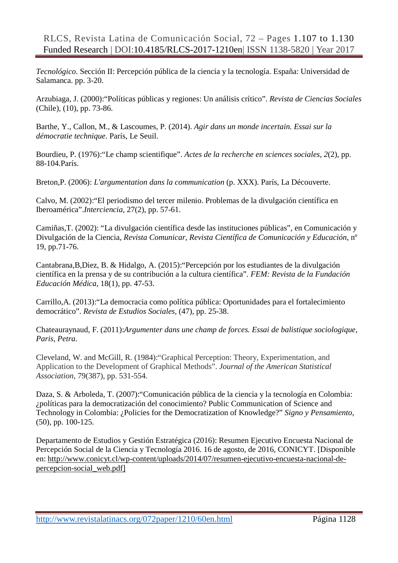*Tecnológico*. Sección II: Percepción pública de la ciencia y la tecnología. España: Universidad de Salamanca. pp. 3-20.

Arzubiaga, J. (2000):"Políticas públicas y regiones: Un análisis crítico". *Revista de Ciencias Sociales* (Chile), (10), pp. 73-86.

Barthe, Y., Callon, M., & Lascoumes, P. (2014). *Agir dans un monde incertain. Essai sur la démocratie technique*. París, Le Seuil.

Bourdieu, P. (1976):"Le champ scientifique". *Actes de la recherche en sciences sociales*, *2*(2), pp. 88-104.París.

Breton,P. (2006): *L'argumentation dans la communication* (p. XXX). París, La Découverte.

Calvo, M. (2002):"El periodismo del tercer milenio. Problemas de la divulgación científica en Iberoamérica".*Interciencia*, 27(2), pp. 57-61.

Camiñas,T. (2002): "La divulgación científica desde las instituciones públicas", en Comunicación y Divulgación de la Ciencia, *Revista Comunicar, Revista Científica de Comunicación y Educación*, nº 19, pp.71-76.

Cantabrana,B,Diez, B. & Hidalgo, A. (2015):"Percepción por los estudiantes de la divulgación científica en la prensa y de su contribución a la cultura científica"*. FEM: Revista de la Fundación Educación Médica*, 18(1), pp. 47-53.

Carrillo,A. (2013):"La democracia como política pública: Oportunidades para el fortalecimiento democrático". *Revista de Estudios Sociales,* (47), pp. 25-38.

Chateauraynaud, F. (2011):*Argumenter dans une champ de forces. Essai de balistique sociologique, Paris, Petra*.

Cleveland, W. and McGill, R. (1984):"Graphical Perception: Theory, Experimentation, and Application to the Development of Graphical Methods". *Journal of the American Statistical Association,* 79(387), pp. 531-554.

Daza, S. & Arboleda, T. (2007):"Comunicación pública de la ciencia y la tecnología en Colombia: ¿políticas para la democratización del conocimiento? Public Communication of Science and Technology in Colombia: ¿Policies for the Democratization of Knowledge?" *Signo y Pensamiento*, (50), pp. 100-125.

Departamento de Estudios y Gestión Estratégica (2016): Resumen Ejecutivo Encuesta Nacional de Percepción Social de la Ciencia y Tecnología 2016. 16 de agosto, de 2016, CONICYT. [Disponible en: [http://www.conicyt.cl/wp-content/uploads/2014/07/resumen-ejecutivo-encuesta-nacional-de](http://www.conicyt.cl/wp-content/uploads/2014/07/resumen-ejecutivo-encuesta-nacional-de-percepcion-social_web.pdf)[percepcion-social\\_web.pdf\]](http://www.conicyt.cl/wp-content/uploads/2014/07/resumen-ejecutivo-encuesta-nacional-de-percepcion-social_web.pdf)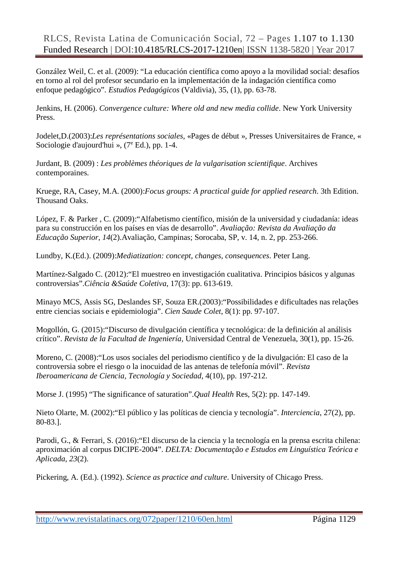González Weil, C. et al. (2009): "La educación científica como apoyo a la movilidad social: desafíos en torno al rol del profesor secundario en la implementación de la indagación científica como enfoque pedagógico"*. Estudios Pedagógicos* (Valdivia), 35, (1), pp. 63-78.

Jenkins, H. (2006). *Convergence culture: Where old and new media collide*. New York University Press.

Jodelet,D.(2003):*Les représentations sociales*, «Pages de début », Presses Universitaires de France, « Sociologie d'aujourd'hui », (7<sup>e</sup> Ed.), pp. 1-4.

Jurdant, B. (2009) : *Les problèmes théoriques de la vulgarisation scientifique*. Archives contemporaines.

Kruege, RA, Casey, M.A. (2000):*Focus groups: A practical guide for applied research*. 3th Edition. Thousand Oaks.

López, F. & Parker , C. (2009):"Alfabetismo científico, misión de la universidad y ciudadanía: ideas para su construcción en los países en vías de desarrollo". *Avaliação: Revista da Avaliação da Educação Superior*, *14*(2).Avaliação, Campinas; Sorocaba, SP, v. 14, n. 2, pp. 253-266.

Lundby, K.(Ed.). (2009):*Mediatization: concept, changes, consequences*. Peter Lang.

Martínez-Salgado C. (2012):"El muestreo en investigación cualitativa. Principios básicos y algunas controversias".*Ciência &Saúde Coletiva*, 17(3): pp. 613-619.

Minayo MCS, Assis SG, Deslandes SF, Souza ER.(2003):"Possibilidades e dificultades nas relações entre ciencias sociais e epidemiologia". *Cien Saude Colet*, 8(1): pp. 97-107.

Mogollón, G. (2015):"Discurso de divulgación científica y tecnológica: de la definición al análisis crítico". *Revista de la Facultad de Ingeniería,* Universidad Central de Venezuela, 30(1), pp. 15-26.

Moreno, C. (2008):"Los usos sociales del periodismo científico y de la divulgación: El caso de la controversia sobre el riesgo o la inocuidad de las antenas de telefonía móvil". *Revista Iberoamericana de Ciencia, Tecnología y Sociedad*, 4(10), pp. 197-212.

Morse J. (1995) "The significance of saturation".*Qual Health* Res, 5(2): pp. 147-149.

Nieto Olarte, M. (2002):"El público y las políticas de ciencia y tecnología". *Interciencia*, 27(2), pp. 80-83.].

Parodi, G., & Ferrari, S. (2016):"El discurso de la ciencia y la tecnología en la prensa escrita chilena: aproximación al corpus DICIPE-2004". *DELTA: Documentação e Estudos em Linguística Teórica e Aplicada*, *23*(2).

Pickering, A. (Ed.). (1992). *Science as practice and culture*. University of Chicago Press.